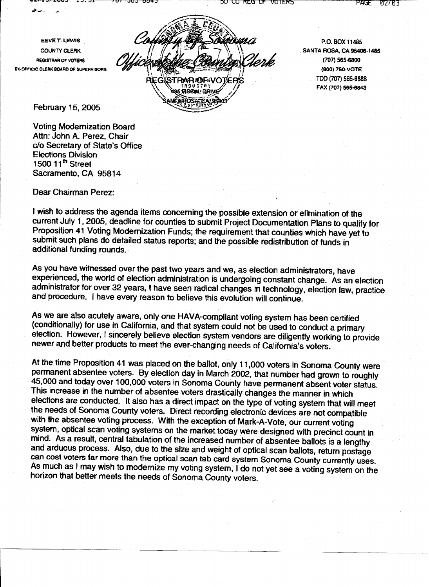EEVE T. LEWIS **COUNTY CLERK REGISTRAR OF VOTERS EX-OFFICIO CLERK BOARD OF SUPERVISORS** 

STRARUDENOTEP **HISOAL DRIVE MODOL** 

ים ולכש טר

VUTERS

P.O. BOX 11485 SANTA ROSA, CA 95406-1485 (707) 565-6800 (800) 750-VOTE TDD (707) 565-6888 FAX (707) 565-6843

February 15, 2005

**Voting Modernization Board** Attn: John A. Perez, Chair c/o Secretary of State's Office **Elections Division** 1500 11<sup>th</sup> Street Sacramento. CA 95814

Dear Chairman Perez:

I wish to address the agenda items concerning the possible extension or elimination of the current July 1, 2005, deadline for counties to submit Project Documentation Plans to qualify for Proposition 41 Voting Modernization Funds; the requirement that counties which have yet to submit such plans do detailed status reports; and the possible redistribution of funds in additional funding rounds.

As you have witnessed over the past two years and we, as election administrators, have experienced, the world of election administration is undergoing constant change. As an election administrator for over 32 years, I have seen radical changes in technology, election law, practice and procedure. I have every reason to believe this evolution will continue.

As we are also acutely aware, only one HAVA-compliant voting system has been certified (conditionally) for use in California, and that system could not be used to conduct a primary election. However, I sincerely believe election system vendors are diligently working to provide newer and better products to meet the ever-changing needs of California's voters.

At the time Proposition 41 was placed on the ballot, only 11,000 voters in Sonoma County were permanent absentee voters. By election day in March 2002, that number had grown to roughly 45,000 and today over 100,000 voters in Sonoma County have permanent absent voter status. This increase in the number of absentee voters drastically changes the manner in which elections are conducted. It also has a direct impact on the type of voting system that will meet the needs of Sonoma County voters. Direct recording electronic devices are not compatible with the absentee voting process. With the exception of Mark-A-Vote, our current voting system, optical scan voting systems on the market today were designed with precinct count in mind. As a result, central tabulation of the increased number of absentee ballots is a lengthy and arduous process. Also, due to the size and weight of optical scan ballots, return postage can cost voters far more than the optical scan tab card system Sonoma County currently uses. As much as I may wish to modernize my voting system, I do not yet see a voting system on the horizon that better meets the needs of Sonoma County voters.